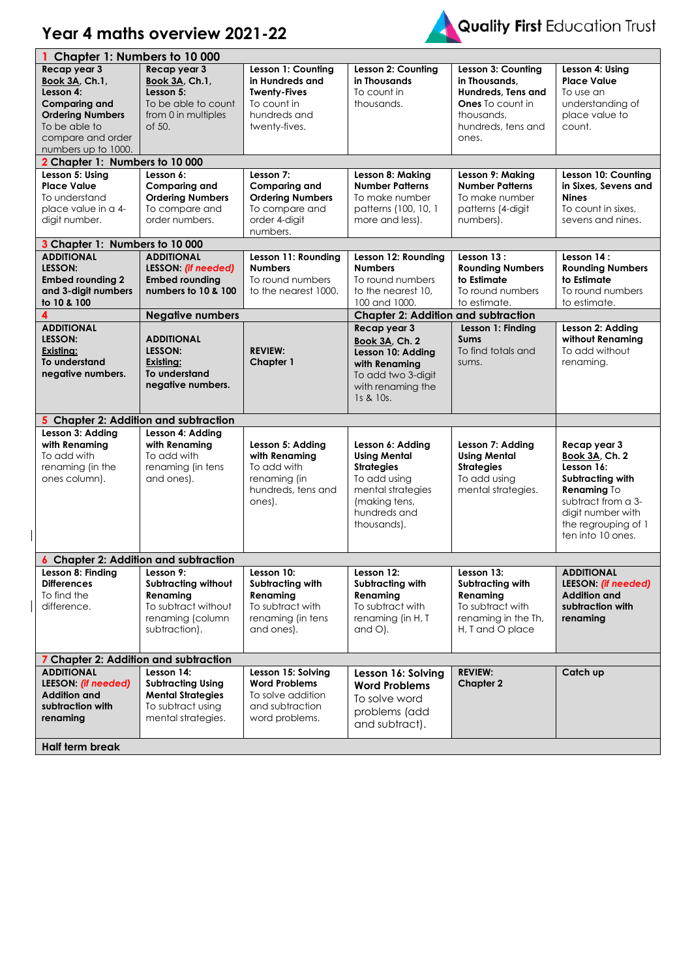## **Year 4 maths overview 2021-22**



|                                                                                                                                                                    | Chapter 1: Numbers to 10 000                                                                                    |                                                                                                              |                                                                                                                                                |                                                                                                                                   |                                                                                                        |
|--------------------------------------------------------------------------------------------------------------------------------------------------------------------|-----------------------------------------------------------------------------------------------------------------|--------------------------------------------------------------------------------------------------------------|------------------------------------------------------------------------------------------------------------------------------------------------|-----------------------------------------------------------------------------------------------------------------------------------|--------------------------------------------------------------------------------------------------------|
| Recap year 3<br><b>Book 3A, Ch.1,</b><br>Lesson 4:<br><b>Comparing and</b><br><b>Ordering Numbers</b><br>To be able to<br>compare and order<br>numbers up to 1000. | Recap year 3<br><b>Book 3A, Ch.1,</b><br>Lesson 5:<br>To be able to count<br>from 0 in multiples<br>of 50.      | Lesson 1: Counting<br>in Hundreds and<br><b>Twenty-Fives</b><br>To count in<br>hundreds and<br>twenty-fives. | Lesson 2: Counting<br>in Thousands<br>To count in<br>thousands.                                                                                | Lesson 3: Counting<br>in Thousands.<br>Hundreds, Tens and<br><b>Ones</b> To count in<br>thousands,<br>hundreds, tens and<br>ones. | Lesson 4: Using<br><b>Place Value</b><br>To use an<br>understanding of<br>place value to<br>count.     |
| 2 Chapter 1: Numbers to 10 000                                                                                                                                     |                                                                                                                 |                                                                                                              |                                                                                                                                                |                                                                                                                                   |                                                                                                        |
| Lesson 5: Using<br><b>Place Value</b><br>To understand<br>place value in a 4-<br>digit number.                                                                     | Lesson 6:<br><b>Comparing and</b><br><b>Ordering Numbers</b><br>To compare and<br>order numbers.                | Lesson 7:<br><b>Comparing and</b><br><b>Ordering Numbers</b><br>To compare and<br>order 4-digit<br>numbers.  | Lesson 8: Making<br><b>Number Patterns</b><br>To make number<br>patterns (100, 10, 1<br>more and less).                                        | Lesson 9: Making<br><b>Number Patterns</b><br>To make number<br>patterns (4-digit<br>numbers).                                    | Lesson 10: Counting<br>in Sixes, Sevens and<br><b>Nines</b><br>To count in sixes,<br>sevens and nines. |
| 3 Chapter 1: Numbers to 10 000                                                                                                                                     |                                                                                                                 |                                                                                                              |                                                                                                                                                |                                                                                                                                   |                                                                                                        |
| <b>ADDITIONAL</b><br>LESSON:<br><b>Embed rounding 2</b><br>and 3-digit numbers<br>to 10 & 100<br>4                                                                 | <b>ADDITIONAL</b><br>LESSON: (if needed)<br><b>Embed rounding</b><br>numbers to 10 & 100                        | Lesson 11: Rounding<br><b>Numbers</b><br>To round numbers<br>to the nearest 1000.                            | Lesson 12: Rounding<br><b>Numbers</b><br>To round numbers<br>to the nearest 10.<br>100 and 1000.<br><b>Chapter 2: Addition and subtraction</b> | Lesson 13:<br><b>Rounding Numbers</b><br>to Estimate<br>To round numbers<br>to estimate.                                          | Lesson 14:<br><b>Rounding Numbers</b><br>to Estimate<br>To round numbers<br>to estimate.               |
| <b>ADDITIONAL</b>                                                                                                                                                  | <b>Negative numbers</b>                                                                                         |                                                                                                              | Recap year 3                                                                                                                                   | Lesson 1: Finding                                                                                                                 | Lesson 2: Adding                                                                                       |
| LESSON:<br>Existing:<br>To understand<br>negative numbers.                                                                                                         | <b>ADDITIONAL</b><br>LESSON:<br>Existing:<br>To understand<br>negative numbers.                                 | <b>REVIEW:</b><br><b>Chapter 1</b>                                                                           | Book 3A, Ch. 2<br>Lesson 10: Adding<br>with Renaming<br>To add two 3-digit<br>with renaming the<br>1s & 10s.                                   | <b>Sums</b><br>To find totals and<br>sums.                                                                                        | without Renaming<br>To add without<br>renaming.                                                        |
| 5 Chapter 2: Addition and subtraction                                                                                                                              |                                                                                                                 |                                                                                                              |                                                                                                                                                |                                                                                                                                   |                                                                                                        |
| Lesson 3: Adding<br>with Renaming<br>To add with<br>renaming (in the<br>ones column).                                                                              | Lesson 4: Adding<br>with Renaming<br>To add with<br>renaming (in tens<br>and ones).                             | Lesson 5: Adding<br>with Renaming<br>To add with<br>renaming (in<br>hundreds, tens and<br>ones).             | Lesson 6: Adding<br><b>Using Mental</b><br><b>Strategies</b><br>To add using<br>mental strategies<br>(making tens,                             | Lesson 7: Adding<br><b>Using Mental</b><br><b>Strategies</b><br>To add using<br>mental strategies.                                | Recap year 3<br>Book 3A, Ch. 2<br>Lesson 16:<br>Subtracting with<br>Renaming To<br>subtract from a 3-  |
|                                                                                                                                                                    |                                                                                                                 |                                                                                                              | hundreds and<br>thousands).                                                                                                                    |                                                                                                                                   | digit number with<br>the regrouping of 1<br>ten into 10 ones.                                          |
| 6 Chapter 2: Addition and subtraction                                                                                                                              |                                                                                                                 |                                                                                                              |                                                                                                                                                |                                                                                                                                   |                                                                                                        |
| Lesson 8: Finding<br><b>Differences</b><br>To find the<br>difference.                                                                                              | Lesson 9:<br><b>Subtracting without</b><br>Renaming<br>To subtract without<br>renaming (column<br>subtraction). | Lesson 10:<br>Subtracting with<br>Renaming<br>To subtract with<br>renaming (in tens<br>and ones).            | Lesson 12:<br>Subtracting with<br>Renaming<br>To subtract with<br>renaming (in H, T<br>$and$ $O$ ).                                            | Lesson 13:<br>Subtracting with<br>Renaming<br>To subtract with<br>renaming in the Th,<br>H, T and O place                         | <b>ADDITIONAL</b><br>LEESON: (if needed)<br><b>Addition and</b><br>subtraction with<br>renaming        |
|                                                                                                                                                                    |                                                                                                                 |                                                                                                              |                                                                                                                                                |                                                                                                                                   |                                                                                                        |
| 7 Chapter 2: Addition and subtraction<br><b>ADDITIONAL</b><br>LEESON: (if needed)<br><b>Addition and</b><br>subtraction with<br>renaming                           | Lesson 14:<br><b>Subtracting Using</b><br><b>Mental Strategies</b><br>To subtract using<br>mental strategies.   | Lesson 15: Solving<br><b>Word Problems</b><br>To solve addition<br>and subtraction<br>word problems.         | Lesson 16: Solving<br><b>Word Problems</b><br>To solve word<br>problems (add<br>and subtract).                                                 | <b>REVIEW:</b><br><b>Chapter 2</b>                                                                                                | Catch up                                                                                               |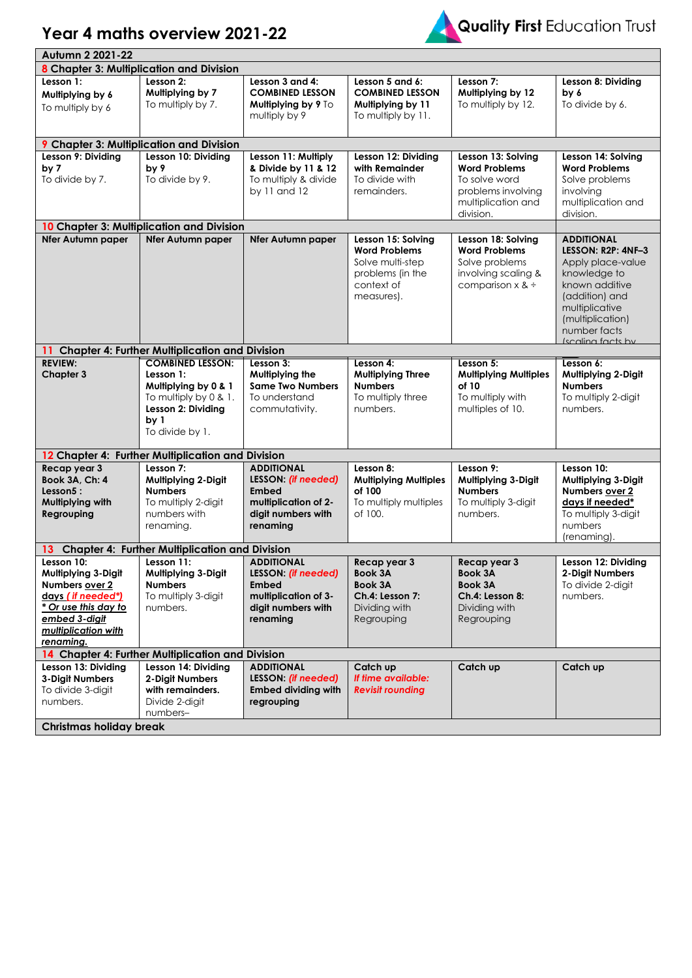## **Year 4 maths overview 2021-22**



| Autumn 2 2021-22                                                                                                                                              |                                                                        |                                            |                                            |                                            |                                            |  |
|---------------------------------------------------------------------------------------------------------------------------------------------------------------|------------------------------------------------------------------------|--------------------------------------------|--------------------------------------------|--------------------------------------------|--------------------------------------------|--|
| 8 Chapter 3: Multiplication and Division                                                                                                                      |                                                                        |                                            |                                            |                                            |                                            |  |
| Lesson 1:                                                                                                                                                     | Lesson 2:                                                              | Lesson 3 and 4:                            | Lesson 5 and 6:                            | Lesson 7:                                  | Lesson 8: Dividing                         |  |
| Multiplying by 6                                                                                                                                              | Multiplying by 7                                                       | <b>COMBINED LESSON</b>                     | <b>COMBINED LESSON</b>                     | Mulliplying by 12                          | by 6                                       |  |
| To multiply by 6                                                                                                                                              | To multiply by 7.                                                      | Multiplying by 9 To                        | Multiplying by 11                          | To multiply by 12.                         | To divide by 6.                            |  |
|                                                                                                                                                               |                                                                        | multiply by 9                              | To multiply by 11.                         |                                            |                                            |  |
|                                                                                                                                                               |                                                                        |                                            |                                            |                                            |                                            |  |
| Lesson 9: Dividing                                                                                                                                            | <b>9</b> Chapter 3: Multiplication and Division<br>Lesson 10: Dividing |                                            |                                            |                                            |                                            |  |
| by 7                                                                                                                                                          | by 9                                                                   | Lesson 11: Multiply<br>& Divide by 11 & 12 | Lesson 12: Dividing<br>with Remainder      | Lesson 13: Solving<br><b>Word Problems</b> | Lesson 14: Solving<br><b>Word Problems</b> |  |
| To divide by 7.                                                                                                                                               | To divide by 9.                                                        | To multiply & divide                       | To divide with                             | To solve word                              | Solve problems                             |  |
|                                                                                                                                                               |                                                                        | by 11 and 12                               | remainders.                                | problems involving                         | involving                                  |  |
|                                                                                                                                                               |                                                                        |                                            |                                            | multiplication and                         | multiplication and                         |  |
|                                                                                                                                                               |                                                                        |                                            |                                            | division.                                  | division.                                  |  |
|                                                                                                                                                               | 10 Chapter 3: Multiplication and Division                              |                                            |                                            |                                            |                                            |  |
| <b>Nfer Autumn paper</b>                                                                                                                                      | <b>Nfer Autumn paper</b>                                               | <b>Nfer Autumn paper</b>                   | Lesson 15: Solving                         | Lesson 18: Solving                         | <b>ADDITIONAL</b>                          |  |
|                                                                                                                                                               |                                                                        |                                            | <b>Word Problems</b><br>Solve multi-step   | <b>Word Problems</b><br>Solve problems     | LESSON: R2P: 4NF-3<br>Apply place-value    |  |
|                                                                                                                                                               |                                                                        |                                            | problems (in the                           | involving scaling &                        | knowledge to                               |  |
|                                                                                                                                                               |                                                                        |                                            | context of                                 | comparison $x \&$                          | known additive                             |  |
|                                                                                                                                                               |                                                                        |                                            | measures).                                 |                                            | (addition) and                             |  |
|                                                                                                                                                               |                                                                        |                                            |                                            |                                            | multiplicative                             |  |
|                                                                                                                                                               |                                                                        |                                            |                                            |                                            | (multiplication)<br>number facts           |  |
|                                                                                                                                                               |                                                                        |                                            |                                            |                                            | Iscaling facts by                          |  |
|                                                                                                                                                               | 11 Chapter 4: Further Multiplication and Division                      |                                            |                                            |                                            |                                            |  |
| <b>REVIEW:</b>                                                                                                                                                | <b>COMBINED LESSON:</b>                                                | Lesson 3:                                  | Lesson 4:                                  | Lesson 5:                                  | Lesson 6:                                  |  |
| <b>Chapter 3</b>                                                                                                                                              | Lesson 1:<br>Multiplying by 0 & 1                                      | Multiplying the<br><b>Same Two Numbers</b> | <b>Multiplying Three</b><br><b>Numbers</b> | <b>Multiplying Multiples</b><br>of 10      | Multiplying 2-Digit<br><b>Numbers</b>      |  |
|                                                                                                                                                               | To multiply by 0 & 1.                                                  | To understand                              | To multiply three                          | To multiply with                           | To multiply 2-digit                        |  |
|                                                                                                                                                               | Lesson 2: Dividing                                                     | commutativity.                             | numbers.                                   | multiples of 10.                           | numbers.                                   |  |
|                                                                                                                                                               | by <sub>1</sub>                                                        |                                            |                                            |                                            |                                            |  |
|                                                                                                                                                               | To divide by 1.                                                        |                                            |                                            |                                            |                                            |  |
|                                                                                                                                                               |                                                                        |                                            |                                            |                                            |                                            |  |
| Recap year 3                                                                                                                                                  | 12 Chapter 4: Further Multiplication and Division<br>Lesson 7:         | <b>ADDITIONAL</b>                          | Lesson 8:                                  | Lesson 9:                                  | Lesson 10:                                 |  |
| Book 3A, Ch: 4                                                                                                                                                | Multiplying 2-Digit                                                    | LESSON: (if needed)                        | <b>Multiplying Multiples</b>               | Multiplying 3-Digit                        | Multiplying 3-Digit                        |  |
| Lesson5:                                                                                                                                                      | <b>Numbers</b>                                                         | <b>Embed</b>                               | of 100                                     | <b>Numbers</b>                             | Numbers over 2                             |  |
| Multiplying with                                                                                                                                              | To multiply 2-digit                                                    | multiplication of 2-                       | To multiply multiples                      | To multiply 3-digit                        | days if needed*                            |  |
| Regrouping                                                                                                                                                    | numbers with                                                           | digit numbers with                         | of 100.                                    | numbers.                                   | To multiply 3-digit                        |  |
|                                                                                                                                                               | renaming.                                                              | renaming                                   |                                            |                                            | numbers                                    |  |
| 13.                                                                                                                                                           |                                                                        |                                            |                                            |                                            | (renaming).                                |  |
| <b>Chapter 4: Further Multiplication and Division</b><br>Lesson 10:<br>Lesson 11:<br><b>ADDITIONAL</b><br>Recap year 3<br>Recap year 3<br>Lesson 12: Dividing |                                                                        |                                            |                                            |                                            |                                            |  |
| Multiplying 3-Digit                                                                                                                                           | Multiplying 3-Digit                                                    | LESSON: (if needed)                        | <b>Book 3A</b>                             | Book 3A                                    | 2-Digit Numbers                            |  |
| Numbers over 2                                                                                                                                                | <b>Numbers</b>                                                         | <b>Embed</b>                               | <b>Book 3A</b>                             | <b>Book 3A</b>                             | To divide 2-digit                          |  |
| days (if needed*)                                                                                                                                             | To multiply 3-digit                                                    | multiplication of 3-                       | Ch.4: Lesson 7:                            | Ch.4: Lesson 8:                            | numbers.                                   |  |
| * Or use this day to                                                                                                                                          | numbers.                                                               | digit numbers with                         | Dividing with                              | Dividing with                              |                                            |  |
| embed 3-digit<br>multiplication with                                                                                                                          |                                                                        | renaming                                   | Regrouping                                 | Regrouping                                 |                                            |  |
| renaming.                                                                                                                                                     |                                                                        |                                            |                                            |                                            |                                            |  |
|                                                                                                                                                               | 14 Chapter 4: Further Multiplication and Division                      |                                            |                                            |                                            |                                            |  |
| Lesson 13: Dividing                                                                                                                                           | Lesson 14: Dividing                                                    | <b>ADDITIONAL</b>                          | Catch up                                   | Catch up                                   | Catch up                                   |  |
| 3-Digit Numbers                                                                                                                                               | 2-Digit Numbers                                                        | LESSON: (if needed)                        | If time available:                         |                                            |                                            |  |
| To divide 3-digit                                                                                                                                             | with remainders.                                                       | <b>Embed dividing with</b>                 | <b>Revisit rounding</b>                    |                                            |                                            |  |
| numbers.                                                                                                                                                      | Divide 2-digit<br>numbers-                                             | regrouping                                 |                                            |                                            |                                            |  |
|                                                                                                                                                               |                                                                        |                                            |                                            |                                            |                                            |  |
| <b>Christmas holiday break</b>                                                                                                                                |                                                                        |                                            |                                            |                                            |                                            |  |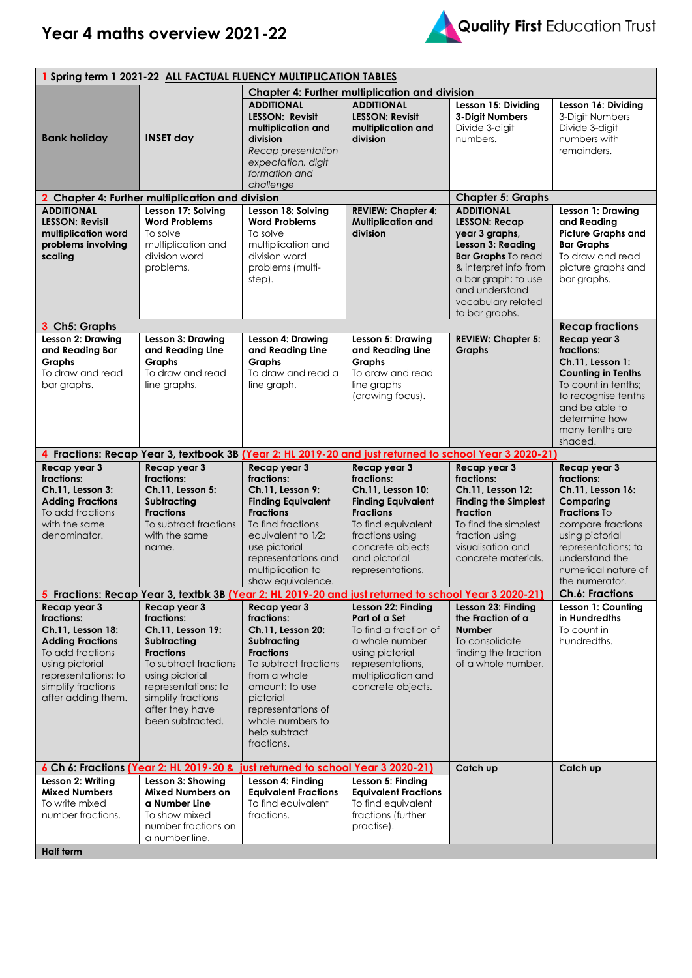## **Year 4 maths overview 2021-22**



| 1 Spring term 1 2021-22 ALL FACTUAL FLUENCY MULTIPLICATION TABLES                                                                                                                    |                                                                                                                                                                                                                    |                                                                                                                                                                                                                                     |                                                                                                                                                                                                    |                                                                                                                                                                                                                         |                                                                                                                                                                                                        |  |
|--------------------------------------------------------------------------------------------------------------------------------------------------------------------------------------|--------------------------------------------------------------------------------------------------------------------------------------------------------------------------------------------------------------------|-------------------------------------------------------------------------------------------------------------------------------------------------------------------------------------------------------------------------------------|----------------------------------------------------------------------------------------------------------------------------------------------------------------------------------------------------|-------------------------------------------------------------------------------------------------------------------------------------------------------------------------------------------------------------------------|--------------------------------------------------------------------------------------------------------------------------------------------------------------------------------------------------------|--|
|                                                                                                                                                                                      |                                                                                                                                                                                                                    |                                                                                                                                                                                                                                     | <b>Chapter 4: Further multiplication and division</b>                                                                                                                                              |                                                                                                                                                                                                                         |                                                                                                                                                                                                        |  |
| <b>Bank holiday</b>                                                                                                                                                                  | <b>INSET day</b>                                                                                                                                                                                                   | <b>ADDITIONAL</b><br><b>LESSON: Revisit</b><br>multiplication and<br>division<br>Recap presentation<br>expectation, digit<br>formation and<br>challenae                                                                             | <b>ADDITIONAL</b><br><b>LESSON: Revisit</b><br>multiplication and<br>division                                                                                                                      | Lesson 15: Dividing<br>3-Digit Numbers<br>Divide 3-digit<br>numbers.                                                                                                                                                    | Lesson 16: Dividing<br>3-Digit Numbers<br>Divide 3-digit<br>numbers with<br>remainders.                                                                                                                |  |
|                                                                                                                                                                                      | 2 Chapter 4: Further multiplication and division                                                                                                                                                                   |                                                                                                                                                                                                                                     |                                                                                                                                                                                                    | <b>Chapter 5: Graphs</b>                                                                                                                                                                                                |                                                                                                                                                                                                        |  |
| <b>ADDITIONAL</b><br><b>LESSON: Revisit</b><br>multiplication word<br>problems involving<br>scaling                                                                                  | Lesson 17: Solving<br><b>Word Problems</b><br>To solve<br>multiplication and<br>division word<br>problems.                                                                                                         | Lesson 18: Solving<br><b>Word Problems</b><br>To solve<br>multiplication and<br>division word<br>problems (multi-<br>step).                                                                                                         | <b>REVIEW: Chapter 4:</b><br><b>Multiplication and</b><br>division                                                                                                                                 | <b>ADDITIONAL</b><br><b>LESSON: Recap</b><br>year 3 graphs,<br>Lesson 3: Reading<br><b>Bar Graphs</b> To read<br>& interpret info from<br>a bar graph; to use<br>and understand<br>vocabulary related<br>to bar graphs. | Lesson 1: Drawing<br>and Reading<br><b>Picture Graphs and</b><br><b>Bar Graphs</b><br>To draw and read<br>picture graphs and<br>bar graphs.                                                            |  |
| 3 Ch5: Graphs                                                                                                                                                                        |                                                                                                                                                                                                                    |                                                                                                                                                                                                                                     |                                                                                                                                                                                                    |                                                                                                                                                                                                                         | <b>Recap fractions</b>                                                                                                                                                                                 |  |
| Lesson 2: Drawing<br>and Reading Bar<br><b>Graphs</b><br>To draw and read<br>bar graphs.                                                                                             | Lesson 3: Drawing<br>and Reading Line<br><b>Graphs</b><br>To draw and read<br>line graphs.                                                                                                                         | Lesson 4: Drawing<br>and Reading Line<br><b>Graphs</b><br>To draw and read a<br>line graph.                                                                                                                                         | Lesson 5: Drawing<br>and Reading Line<br><b>Graphs</b><br>To draw and read<br>line graphs<br>(drawing focus).                                                                                      | <b>REVIEW: Chapter 5:</b><br><b>Graphs</b>                                                                                                                                                                              | Recap year 3<br>fractions:<br>Ch.11. Lesson 1:<br><b>Counting in Tenths</b><br>To count in tenths;<br>to recognise tenths<br>and be able to<br>determine how<br>many tenths are<br>shaded.             |  |
|                                                                                                                                                                                      |                                                                                                                                                                                                                    | 4 Fractions: Recap Year 3, textbook 3B (Year 2: HL 2019-20 and just returned to school Year 3 2020-21)                                                                                                                              |                                                                                                                                                                                                    |                                                                                                                                                                                                                         |                                                                                                                                                                                                        |  |
|                                                                                                                                                                                      |                                                                                                                                                                                                                    |                                                                                                                                                                                                                                     |                                                                                                                                                                                                    |                                                                                                                                                                                                                         |                                                                                                                                                                                                        |  |
| Recap year 3<br>fractions:<br>Ch.11, Lesson 3:<br><b>Adding Fractions</b><br>To add fractions<br>with the same<br>denominator.                                                       | Recap year 3<br>fractions:<br>Ch.11, Lesson 5:<br>Subtracting<br><b>Fractions</b><br>To subtract fractions<br>with the same<br>name.                                                                               | Recap year 3<br>fractions:<br>Ch.11, Lesson 9:<br><b>Finding Equivalent</b><br><b>Fractions</b><br>To find fractions<br>equivalent to 1/2;<br>use pictorial<br>representations and<br>multiplication to<br>show equivalence.        | Recap year 3<br>fractions:<br>Ch.11, Lesson 10:<br><b>Finding Equivalent</b><br><b>Fractions</b><br>To find equivalent<br>fractions using<br>concrete objects<br>and pictorial<br>representations. | Recap year 3<br>fractions:<br>Ch.11, Lesson 12:<br><b>Finding the Simplest</b><br><b>Fraction</b><br>To find the simplest<br>fraction using<br>visualisation and<br>concrete materials.                                 | Recap year 3<br>fractions:<br>Ch.11, Lesson 16:<br>Comparing<br>Fractions To<br>compare fractions<br>using pictorial<br>representations; to<br>understand the<br>numerical nature of<br>the numerator. |  |
|                                                                                                                                                                                      |                                                                                                                                                                                                                    | 5 Fractions: Recap Year 3, textbk 3B (Year 2: HL 2019-20 and just returned to school Year 3 2020-21)                                                                                                                                |                                                                                                                                                                                                    |                                                                                                                                                                                                                         | <b>Ch.6: Fractions</b>                                                                                                                                                                                 |  |
| Recap year 3<br>fractions:<br>Ch.11, Lesson 18:<br><b>Adding Fractions</b><br>To add fractions<br>using pictorial<br>representations; to<br>simplify fractions<br>after adding them. | Recap year 3<br>fractions:<br>Ch.11, Lesson 19:<br>Subtracting<br><b>Fractions</b><br>To subtract fractions<br>using pictorial<br>representations; to<br>simplify fractions<br>after they have<br>been subtracted. | Recap year 3<br>fractions:<br>Ch.11, Lesson 20:<br>Subtracting<br><b>Fractions</b><br>To subtract fractions<br>from a whole<br>amount; to use<br>pictorial<br>representations of<br>whole numbers to<br>help subtract<br>fractions. | Lesson 22: Finding<br>Part of a Set<br>To find a fraction of<br>a whole number<br>using pictorial<br>representations,<br>multiplication and<br>concrete objects.                                   | Lesson 23: Finding<br>the Fraction of a<br><b>Number</b><br>To consolidate<br>finding the fraction<br>of a whole number.                                                                                                | Lesson 1: Counting<br>in Hundredths<br>To count in<br>hundredths.                                                                                                                                      |  |
|                                                                                                                                                                                      |                                                                                                                                                                                                                    | 6 Ch 6: Fractions (Year 2: HL 2019-20 & just returned to school Year 3 2020-21)                                                                                                                                                     |                                                                                                                                                                                                    | Catch up                                                                                                                                                                                                                | Catch up                                                                                                                                                                                               |  |
| Lesson 2: Writing<br><b>Mixed Numbers</b><br>To write mixed<br>number fractions.<br><b>Half term</b>                                                                                 | Lesson 3: Showing<br><b>Mixed Numbers on</b><br>a Number Line<br>To show mixed<br>number fractions on<br>a number line.                                                                                            | Lesson 4: Finding<br><b>Equivalent Fractions</b><br>To find equivalent<br>fractions.                                                                                                                                                | Lesson 5: Finding<br><b>Equivalent Fractions</b><br>To find equivalent<br>fractions (further<br>practise).                                                                                         |                                                                                                                                                                                                                         |                                                                                                                                                                                                        |  |